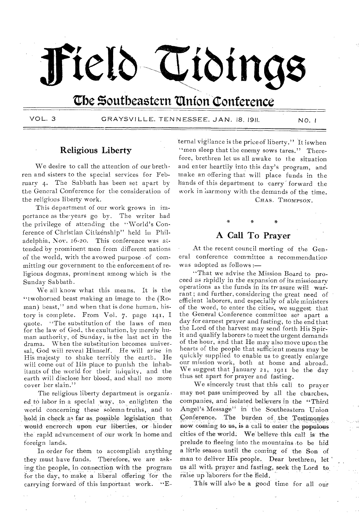# Field Tidings

# The Southeastern Union Conference

VOL. 3

GRAYSVILLE, TENNESSEE, JAN. 18, 1911.

 $NO.1$ 

#### **Religious Liberty**

We desire to call the attention of our brethren and sisters to the special services for February 4. The Sabbath has been set apart by the General Conference for the consideration of the religious liberty work.

This department of our work grows in importance as the years go by. The writer had the privilege of attending the "World's Conference of Christian Citizenship" held in Philadelphia, Nov. 16-20. This conference was attended by prominent men from different nations of the world, with the avowed purpose - of committing our government to the enforcement of religious dogmas, prominent among which is the Sunday Sabbath.

We all know what this means. It is the "twohorned beast making an image to the  $(R_0$ man) beast." and when that is done human, history is complete. From Vol. 7. page 141, I quote. "The substitution of the laws of men for the law of God, the exultation, by merely human authority, of Sunday, is the last act in the drama. When the substitution becomes universal, God will reveal Himself. He will arise in His majesty to shake terribly the earth. He will come out of His place to punish the inhabitants of the world for their iniquity, and the earth will disclose her blood, and shall no more cover her slain."

The religious liberty department is organiz. ed to labor in a special way, to enlighten the world concerning these solemn truths, and to hold in check as far as possible legislation that would enerorch upon cur liberties, or hinder the rapid advancement of our work in home and foreign lands.

In order for them to accomplish anything they must have funds. Therefore, we are asking the people, in connection with the program for the day, to make a liberal offering for the carrying forward of this important work. "E- ternal vigilance is the price of liberty." It is when "men sleep that the enemy sows tares." Therefore, brethren let us all awake to the situation and enter heartily into this day's program, and make an offering that will place funds in the hands of this department to carry forward the work in harmony with the demands of the time. CHAS. THOMPSON.

### A Call To Praver

At the recent council meeting of the General conference committee a recommendation was adopted as follows:-

"That we advise the Mission Board to proceed as rapidly in the expansion of its missionary operations as the funds in its treasure will warrant; and further, considering the great need of efficient laborers, and especially of able ministers of the word, to enter the cities, we suggest that the General Conference committee set apart a day for earnest prayer and fasting, to the end that the Lord of the harvest may send forth His Spirit and qualify laborers to meet the urgent demands of the hour, and that He may also move upon the hearts of the people that sufficient means may be quickly supplied to enable us to greatly enlarge our mission work, both at home and abroad.<br>We suggest that January 21, 1911 be the day thus set apart for prayer and fasting.

We sincerely trust that this call to prayer may not pass unimproved by all the churches, companies, and isolated believers in the "Third Angel's Message" in the Southeastern Union Conference. The burden of the Testimonies now coming to us, is a call to enter the populous cities of the world. We believe this call is the prelude to fleeing into the mountains to be hid a little season until the coming of the Son of man to deliver His people. Dear brethren, let us all with prayer and fasting, seek the Lord to raise up laborers for the field.

This will also be a good time for all our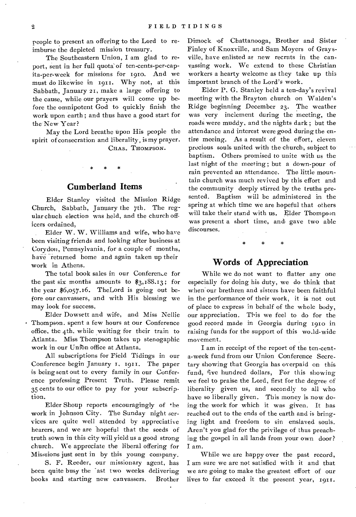people to present an offering to the Lord to reimburse the depleted mission treasury.

The Southeastern Union, I am glad to report, sent in her full quota of ten-cents-per-capita-per-week for missions for 1910. And we must do likewise in 1911. Why not, at this Sabbath, January 21, make a large offering to the cause, while our prayers will come up before the omnipotent God to quickly finish the work upon earth ; and thus have a good start for the New Year?

May the Lord breathe upon His people the spirit of consecration and liberality, is my prayer.

CHAS. THOMPSON.

#### **Cumberland Items**

Elder Stanley visited the Mission Ridge Church, Sabbath, January the 7th. The regular chuch election was held, and the church officers ordained,

Elder W. W. Williams and wife, who have been visiting friends and looking after business at Corydon, Pennsylvania, for a couple of months, have returned home and again taken up their work in Athens.

The total book sales in our Conference for the past six months amounts to  $\frac{2}{3}$ , 188.13; for the year \$6,057.16. TheLord is going out before our canvassers, and with His blessing we may look for success.

Elder Dowsett and wife, and Miss Nellie Thompson. spent a few hours at our Conference office, the 4th, while waiting for their train to Atlanta. Miss Thompson takes up stenogaphic work in our Unibn office at Atlanta.

All subscriptions for Field Tidings in our Conference begin January I. 1911. The paper is being sent out to every family in our Conference professing Present Truth. Please remit 35 cents to our office to pay for your subscription.

Elder Shoup reports encouragingly of the work in Johnson City. The Sunday night services are quite well attended by appreciative hearers, and we are hopeful that the seeds of truth sown in this city will yield us a good strong church. We appreciate the liberal offering for Misssions just sent in by this young company.

S. F. Reeder, our missionary agent, has been quite busy the 'ast two weeks delivering books and starting new canvassers. Brother Dimock •of Chattanooga, Brother and Sister Finley of Knoxville, and Sam Moyers of Gray sville, have enlisted as new recruts in the canvassing work. We extend to these Christian workers a hearty welcome as they take up this important branch of the Lord's work.

Elder P. G. Stanley held a ten-day's revival meeting with the Brayton church on Walden's Ridge beginning December 23. The weather was very inclement during the meeting, the roads were muddy, and the nights dark ; but the attendance and interest were good during the entire meeing. As a result of the effort, eleven precious souls united with the church, subject to baptism. Others promised to unite with us the last night of the meeting ; but a down-pour of rain prevented an attendance. The little mountain church was much revived by this effort and the community deeply stirred by the truths presented. Baptism will be administered in the spring at which time we are hopeful that others will take their stand with us. Elder Thompson was present a short time, and. gave two able discourses.

#### **Words of Appreciation**

While we do not want to flatter any one especially for doing his duty, we do think that when'our brethren and sisters have been faithful in the performance of their work, it is not out of place to express in behalf of the whole body, our appreciation. This we feel to do for the good record made in Georgia during 1910 in raising funds for the support of this wo.ld-wide movement.

I am in receipt of the report of the ten-centa-week fund from our Union Conference Secretary showing that Georgia has overpaid on this fund, five hundred dollars, For this showing we feel to praise the Lord, first for the degree of liberality given us, and secondly to all who have so liberally given. This money is now doing the work for which it was given. It has reached out to the ends of the earth and is bringing light and freedom to sin enslaved souls. Aren't you glad for the privilege of thus preaching the gospel in all lands from your own door? I am.

While we are happy over the past record, I am sure we are not satisfied with it and that we are going to make the greatest effort of our lives to far exceed it the present year, 1911.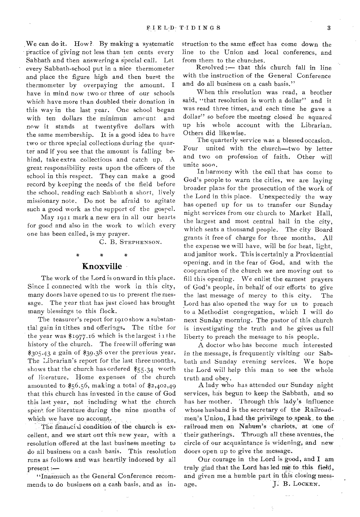,We can do it. How?. By making a systematic practice of giving not less than ten cents every Sabbath and then answering a special call. Let every Sabbath-school put in a nice thermometer and place the figure high and then burst the thermometer by overpaying the amount. I have in mind now two or three of our schools which have more than doubled their donation in this way in the last year. One school began with ten dollars the minimun amount and now it stands at twentyfive dollars with the same membership. It is a good idea to have two or three special collections during the quarter and if you see that the amount is falling behind, take extra collectious and catch up. A great responsibility rests upon the officers of the school in this respect. They can make a good record by keeping the needs of the field before the school, reading each Sabbath a short, lively missionary note. Do not be afraid to agitate such a good work as the support of the gospel.

May 1911 mark a new era in all our hearts for good and also in the work to which every one has been called, is my prayer.

C. B. STEPHENSON.

# Knoxville •

The work of the Lord is onward in this place. Since I connected with the work in this city, many doors have opened to us to present the message. The year that has just closed has brought many blessings to this flock.

The teasurer's report for 1910 show a substantial gain in tithes and offerings. The tithe for the year was  $\frac{81977.16}{6}$  which is the largest in the history of the church. The freewill offering was \$305.43 a gain of \$39.38 over the previous year. The Librarian's report for the last three months, shows that the church has ordered \$55.34 worth of literature. Home expenses of the church amounted to  $$56.56$ , making a total of  $$2,402,49$ that this church has invested in the cause of God this last year, not including what the church spent for literature during the nine months of which we have no account.

The financial condition of the church is excellent, and we start out this new year, with a resolution offered at the last business meeting to do all business on a cash basis. This resolution runs as follows and was heartily indorsed by all present

"Inasmuch as the General Conference recommends to do business on a cash basis, and as instruction to the same effect has come down the line to the Union and local conferencs, and from them to the churches.

Resolved :— that this church fall in line with the instruction of the General Conference and do all business on a cash basis."

When this resolution was read, a brother said, "that resolution is worth a dollar" and it was read three times, and each time he gave a dollar" so before the meetng closed he squared up his whole account with the Librarian. Others did likewise.

The quarterly service w as a blessed occasion. Four united with the church—two by letter and two on profession of faith. Other will unite soon.

In harmony with the call that has come to God's people to warn the cities, we are laying broader plans for the prosecution of the work of the Lord in this place. Unexpectedly the way has opened up for us to transfer our Sunday night services from our church to Market Hall, the largest and most central hall in the city, which seats a thousand people. The city Board grants it free of charge for three months. All the expense we will have, will be for heat, light, and janitor work. This is certainly a Providential opening, and in the fear of God, and with the cooperation of the church we are moving out to fill this opening. We enlist the earnest prayers of God's people, in behalf of our efforts' to give the last message of mercy to this city. The Lord has also opened the way for us to preach to a Methodist congregation, which I will do next Sunday morning. The pastor of this church is investigating the truth and he gives us full liberty to preach the message to his people.

A doctor who has become much interested in the *message,* is frequuently visiting our Sabbath and Sunday evening services. We hope the Lord will help this man to see the whole truth and obey.

A lady who has attended cur Sunday night services, has begun to keep the Sabbath, and so has her mother. Through this lady's influence whose husband is the secretary of the Railroadmen's Union, I had the privilege to speak, to the railroad men on Nahum's chariots, at one of their gatherings. Through all these avenues, the circle of our acquaintance is widening, and new doors open up to give the message.

Our courage in the Lord is good, and I am truly glad that the. Lord has led me to this field, and given me a humble part in this closing message. J. B. LOCKEN.